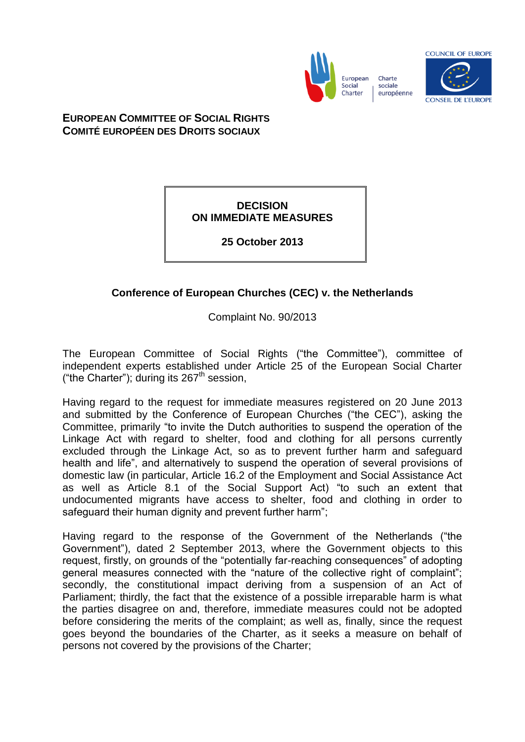

European Charte sociale Charter européenne



**EUROPEAN COMMITTEE OF SOCIAL RIGHTS COMITÉ EUROPÉEN DES DROITS SOCIAUX**

## **DECISION ON IMMEDIATE MEASURES**

**25 October 2013**

## **Conference of European Churches (CEC) v. the Netherlands**

Complaint No. 90/2013

The European Committee of Social Rights ("the Committee"), committee of independent experts established under Article 25 of the European Social Charter ("the Charter"); during its 267<sup>th</sup> session,

Having regard to the request for immediate measures registered on 20 June 2013 and submitted by the Conference of European Churches ("the CEC"), asking the Committee, primarily "to invite the Dutch authorities to suspend the operation of the Linkage Act with regard to shelter, food and clothing for all persons currently excluded through the Linkage Act, so as to prevent further harm and safeguard health and life", and alternatively to suspend the operation of several provisions of domestic law (in particular, Article 16.2 of the Employment and Social Assistance Act as well as Article 8.1 of the Social Support Act) "to such an extent that undocumented migrants have access to shelter, food and clothing in order to safeguard their human dignity and prevent further harm";

Having regard to the response of the Government of the Netherlands ("the Government"), dated 2 September 2013, where the Government objects to this request, firstly, on grounds of the "potentially far-reaching consequences" of adopting general measures connected with the "nature of the collective right of complaint"; secondly, the constitutional impact deriving from a suspension of an Act of Parliament; thirdly, the fact that the existence of a possible irreparable harm is what the parties disagree on and, therefore, immediate measures could not be adopted before considering the merits of the complaint; as well as, finally, since the request goes beyond the boundaries of the Charter, as it seeks a measure on behalf of persons not covered by the provisions of the Charter;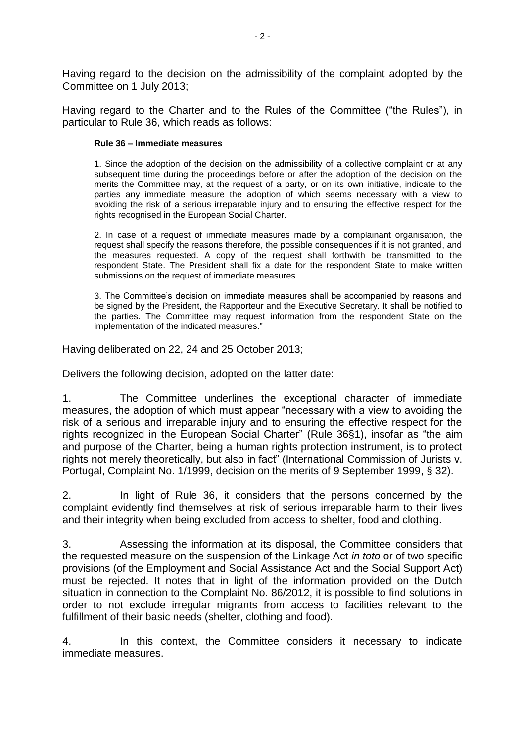Having regard to the decision on the admissibility of the complaint adopted by the Committee on 1 July 2013;

Having regard to the Charter and to the Rules of the Committee ("the Rules"), in particular to Rule 36, which reads as follows:

## **Rule 36 – Immediate measures**

1. Since the adoption of the decision on the admissibility of a collective complaint or at any subsequent time during the proceedings before or after the adoption of the decision on the merits the Committee may, at the request of a party, or on its own initiative, indicate to the parties any immediate measure the adoption of which seems necessary with a view to avoiding the risk of a serious irreparable injury and to ensuring the effective respect for the rights recognised in the European Social Charter.

2. In case of a request of immediate measures made by a complainant organisation, the request shall specify the reasons therefore, the possible consequences if it is not granted, and the measures requested. A copy of the request shall forthwith be transmitted to the respondent State. The President shall fix a date for the respondent State to make written submissions on the request of immediate measures.

3. The Committee's decision on immediate measures shall be accompanied by reasons and be signed by the President, the Rapporteur and the Executive Secretary. It shall be notified to the parties. The Committee may request information from the respondent State on the implementation of the indicated measures."

Having deliberated on 22, 24 and 25 October 2013;

Delivers the following decision, adopted on the latter date:

1. The Committee underlines the exceptional character of immediate measures, the adoption of which must appear "necessary with a view to avoiding the risk of a serious and irreparable injury and to ensuring the effective respect for the rights recognized in the European Social Charter" (Rule 36§1), insofar as "the aim and purpose of the Charter, being a human rights protection instrument, is to protect rights not merely theoretically, but also in fact" (International Commission of Jurists v. Portugal, Complaint No. 1/1999, decision on the merits of 9 September 1999, § 32).

2. In light of Rule 36, it considers that the persons concerned by the complaint evidently find themselves at risk of serious irreparable harm to their lives and their integrity when being excluded from access to shelter, food and clothing.

3. Assessing the information at its disposal, the Committee considers that the requested measure on the suspension of the Linkage Act *in toto* or of two specific provisions (of the Employment and Social Assistance Act and the Social Support Act) must be rejected. It notes that in light of the information provided on the Dutch situation in connection to the Complaint No. 86/2012, it is possible to find solutions in order to not exclude irregular migrants from access to facilities relevant to the fulfillment of their basic needs (shelter, clothing and food).

4. In this context, the Committee considers it necessary to indicate immediate measures.